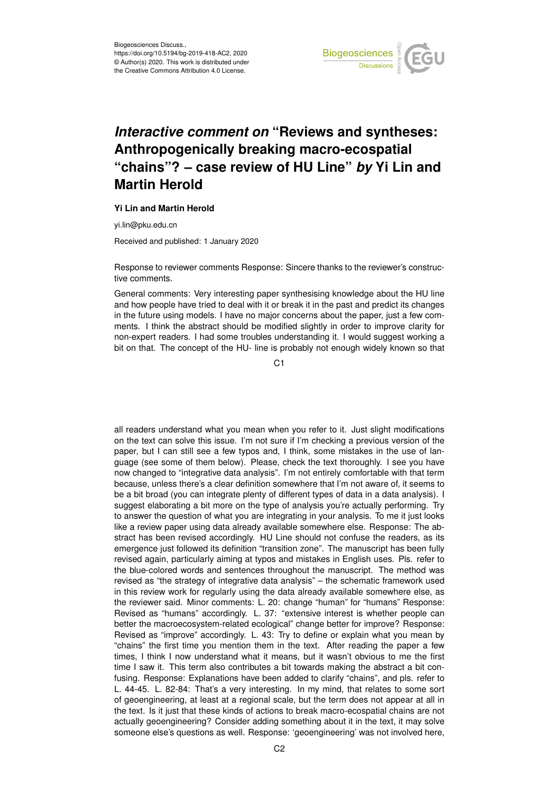

## *Interactive comment on* **"Reviews and syntheses: Anthropogenically breaking macro-ecospatial "chains"? – case review of HU Line"** *by* **Yi Lin and Martin Herold**

## **Yi Lin and Martin Herold**

yi.lin@pku.edu.cn

Received and published: 1 January 2020

Response to reviewer comments Response: Sincere thanks to the reviewer's constructive comments.

General comments: Very interesting paper synthesising knowledge about the HU line and how people have tried to deal with it or break it in the past and predict its changes in the future using models. I have no major concerns about the paper, just a few comments. I think the abstract should be modified slightly in order to improve clarity for non-expert readers. I had some troubles understanding it. I would suggest working a bit on that. The concept of the HU- line is probably not enough widely known so that

C<sub>1</sub>

all readers understand what you mean when you refer to it. Just slight modifications on the text can solve this issue. I'm not sure if I'm checking a previous version of the paper, but I can still see a few typos and, I think, some mistakes in the use of language (see some of them below). Please, check the text thoroughly. I see you have now changed to "integrative data analysis". I'm not entirely comfortable with that term because, unless there's a clear definition somewhere that I'm not aware of, it seems to be a bit broad (you can integrate plenty of different types of data in a data analysis). I suggest elaborating a bit more on the type of analysis you're actually performing. Try to answer the question of what you are integrating in your analysis. To me it just looks like a review paper using data already available somewhere else. Response: The abstract has been revised accordingly. HU Line should not confuse the readers, as its emergence just followed its definition "transition zone". The manuscript has been fully revised again, particularly aiming at typos and mistakes in English uses. Pls. refer to the blue-colored words and sentences throughout the manuscript. The method was revised as "the strategy of integrative data analysis" – the schematic framework used in this review work for regularly using the data already available somewhere else, as the reviewer said. Minor comments: L. 20: change "human" for "humans" Response: Revised as "humans" accordingly. L. 37: "extensive interest is whether people can better the macroecosystem-related ecological" change better for improve? Response: Revised as "improve" accordingly. L. 43: Try to define or explain what you mean by "chains" the first time you mention them in the text. After reading the paper a few times, I think I now understand what it means, but it wasn't obvious to me the first time I saw it. This term also contributes a bit towards making the abstract a bit confusing. Response: Explanations have been added to clarify "chains", and pls. refer to L. 44-45. L. 82-84: That's a very interesting. In my mind, that relates to some sort of geoengineering, at least at a regional scale, but the term does not appear at all in the text. Is it just that these kinds of actions to break macro-ecospatial chains are not actually geoengineering? Consider adding something about it in the text, it may solve someone else's questions as well. Response: 'geoengineering' was not involved here,